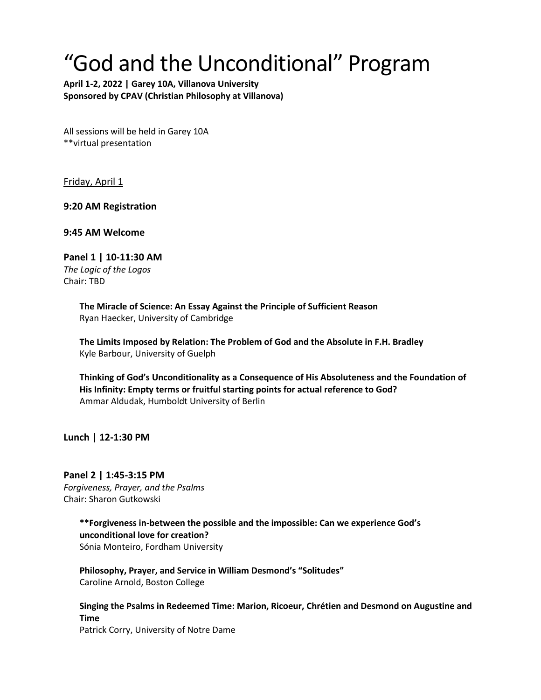## "God and the Unconditional" Program

**April 1-2, 2022 | Garey 10A, Villanova University Sponsored by CPAV (Christian Philosophy at Villanova)** 

All sessions will be held in Garey 10A \*\*virtual presentation

Friday, April 1

**9:20 AM Registration**

**9:45 AM Welcome**

**Panel 1 | 10-11:30 AM** *The Logic of the Logos*  Chair: TBD

> **The Miracle of Science: An Essay Against the Principle of Sufficient Reason** Ryan Haecker, University of Cambridge

**The Limits Imposed by Relation: The Problem of God and the Absolute in F.H. Bradley** Kyle Barbour, University of Guelph

**Thinking of God's Unconditionality as a Consequence of His Absoluteness and the Foundation of His Infinity: Empty terms or fruitful starting points for actual reference to God?** Ammar Aldudak, Humboldt University of Berlin

**Lunch | 12-1:30 PM**

**Panel 2 | 1:45-3:15 PM**  *Forgiveness, Prayer, and the Psalms* Chair: Sharon Gutkowski

> **\*\*Forgiveness in-between the possible and the impossible: Can we experience God's unconditional love for creation?** Sónia Monteiro, Fordham University

**Philosophy, Prayer, and Service in William Desmond's "Solitudes"** Caroline Arnold, Boston College

**Singing the Psalms in Redeemed Time: Marion, Ricoeur, Chrétien and Desmond on Augustine and Time**  Patrick Corry, University of Notre Dame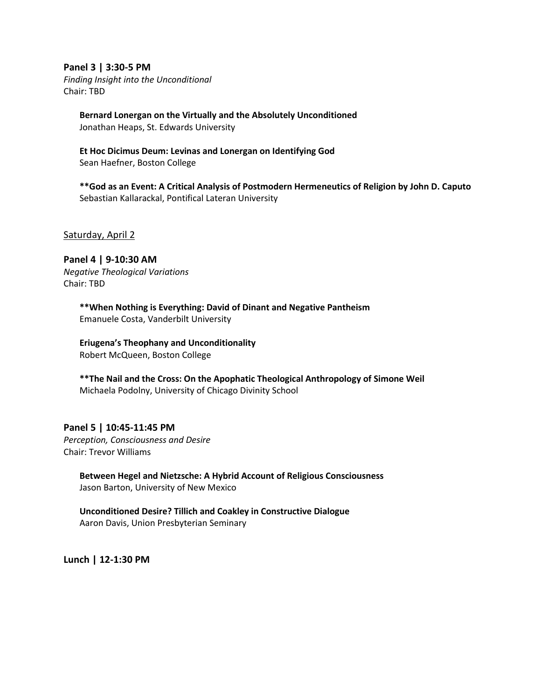**Panel 3 | 3:30-5 PM**

*Finding Insight into the Unconditional* Chair: TBD

> **Bernard Lonergan on the Virtually and the Absolutely Unconditioned** Jonathan Heaps, St. Edwards University

**Et Hoc Dicimus Deum: Levinas and Lonergan on Identifying God** Sean Haefner, Boston College

**\*\*God as an Event: A Critical Analysis of Postmodern Hermeneutics of Religion by John D. Caputo** Sebastian Kallarackal, Pontifical Lateran University

Saturday, April 2

**Panel 4 | 9-10:30 AM** *Negative Theological Variations*  Chair: TBD

> **\*\*When Nothing is Everything: David of Dinant and Negative Pantheism** Emanuele Costa, Vanderbilt University

**Eriugena's Theophany and Unconditionality** Robert McQueen, Boston College

**\*\*The Nail and the Cross: On the Apophatic Theological Anthropology of Simone Weil** Michaela Podolny, University of Chicago Divinity School

## **Panel 5 | 10:45-11:45 PM**

*Perception, Consciousness and Desire* Chair: Trevor Williams

> **Between Hegel and Nietzsche: A Hybrid Account of Religious Consciousness** Jason Barton, University of New Mexico

**Unconditioned Desire? Tillich and Coakley in Constructive Dialogue** Aaron Davis, Union Presbyterian Seminary

**Lunch | 12-1:30 PM**